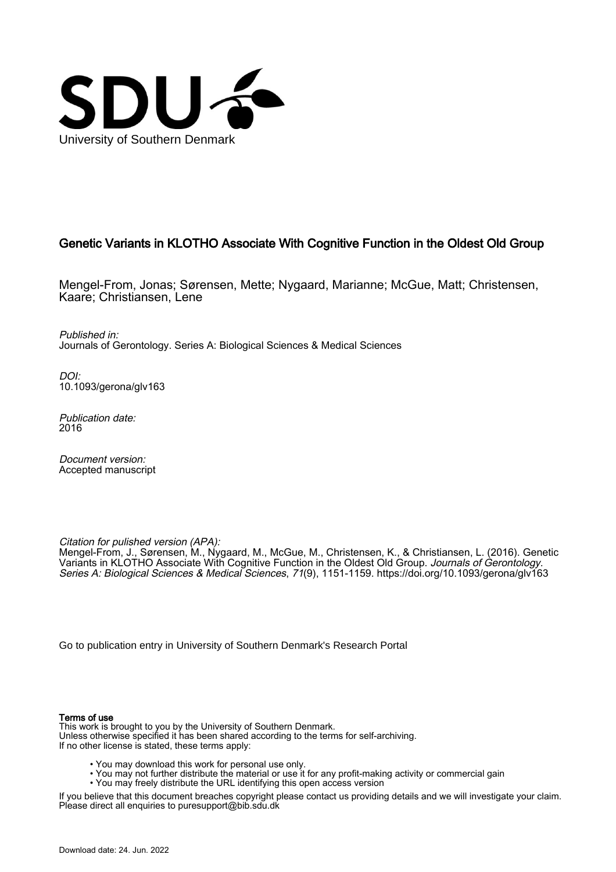

# Genetic Variants in KLOTHO Associate With Cognitive Function in the Oldest Old Group

Mengel-From, Jonas; Sørensen, Mette; Nygaard, Marianne; McGue, Matt; Christensen, Kaare; Christiansen, Lene

Published in: Journals of Gerontology. Series A: Biological Sciences & Medical Sciences

DOI: [10.1093/gerona/glv163](https://doi.org/10.1093/gerona/glv163)

Publication date: 2016

Document version: Accepted manuscript

Citation for pulished version (APA):

Mengel-From, J., Sørensen, M., Nygaard, M., McGue, M., Christensen, K., & Christiansen, L. (2016). Genetic Variants in KLOTHO Associate With Cognitive Function in the Oldest Old Group. Journals of Gerontology. Series A: Biological Sciences & Medical Sciences, 71(9), 1151-1159.<https://doi.org/10.1093/gerona/glv163>

[Go to publication entry in University of Southern Denmark's Research Portal](https://portal.findresearcher.sdu.dk/en/publications/e478ae93-a7f3-4453-931d-4735ab4e338f)

## Terms of use

This work is brought to you by the University of Southern Denmark. Unless otherwise specified it has been shared according to the terms for self-archiving. If no other license is stated, these terms apply:

- You may download this work for personal use only.
- You may not further distribute the material or use it for any profit-making activity or commercial gain
- You may freely distribute the URL identifying this open access version

If you believe that this document breaches copyright please contact us providing details and we will investigate your claim. Please direct all enquiries to puresupport@bib.sdu.dk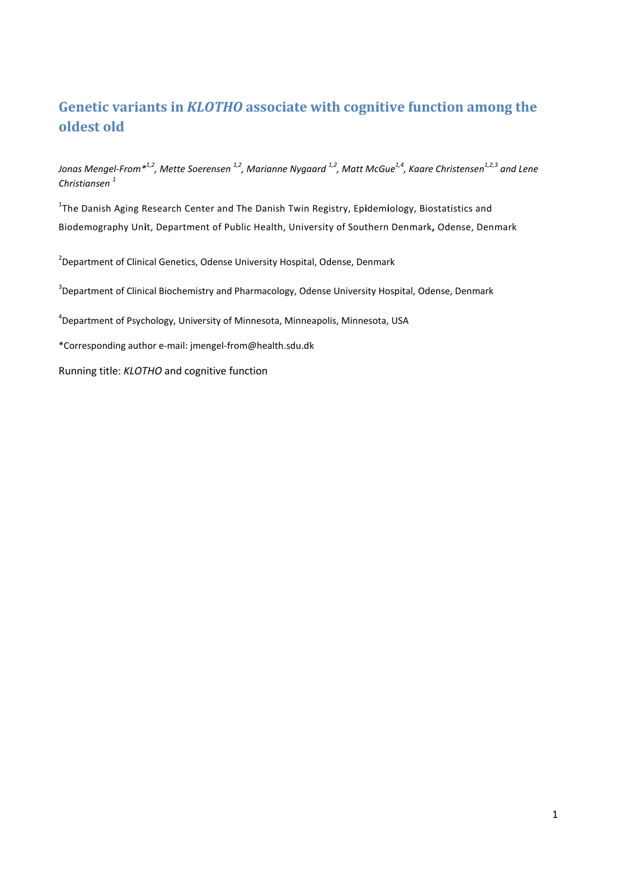# **Genetic variants in** *KLOTHO* **associate with cognitive function among the oldest old**

*Jonas Mengel-From\*1,2, Mette Soerensen 1,2, Marianne Nygaard 1,2, Matt McGue1,4, Kaare Christensen1,2,3 and Lene Christiansen <sup>1</sup>*

1 The Danish Aging Research Center and The Danish Twin Registry, Ep**i**dem**i**ology, Biostatistics and Biodemography Un**i**t, Department of Public Health, University of Southern Denmark**,** Odense, Denmark

<sup>2</sup>Department of Clinical Genetics, Odense University Hospital, Odense, Denmark

<sup>3</sup>Department of Clinical Biochemistry and Pharmacology, Odense University Hospital, Odense, Denmark

4 Department of Psychology, University of Minnesota, Minneapolis, Minnesota, USA

\*Corresponding author e-mail: jmengel-from@health.sdu.dk

Running title: *KLOTHO* and cognitive function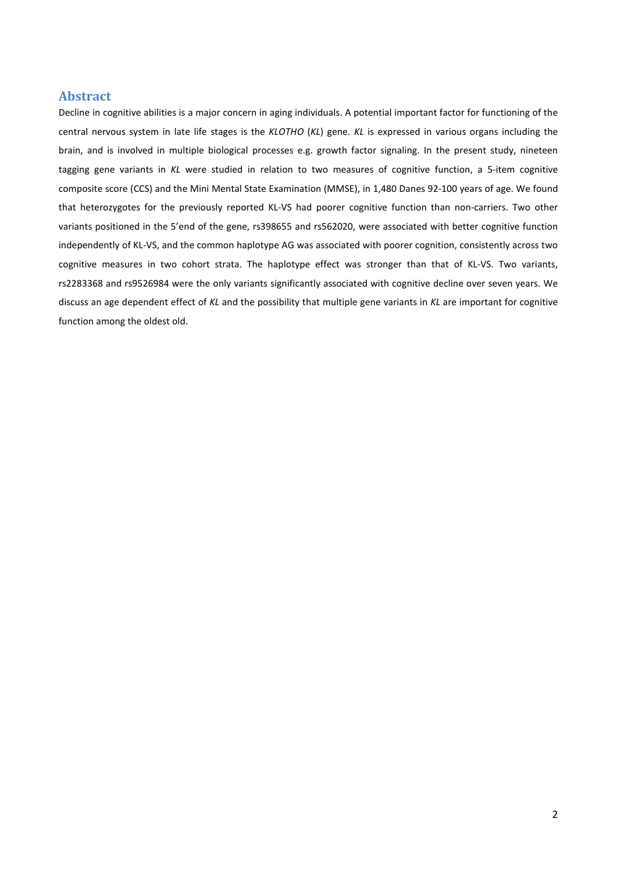# **Abstract**

Decline in cognitive abilities is a major concern in aging individuals. A potential important factor for functioning of the central nervous system in late life stages is the *KLOTHO* (*KL*) gene. *KL* is expressed in various organs including the brain, and is involved in multiple biological processes e.g. growth factor signaling. In the present study, nineteen tagging gene variants in *KL* were studied in relation to two measures of cognitive function, a 5-item cognitive composite score (CCS) and the Mini Mental State Examination (MMSE), in 1,480 Danes 92-100 years of age. We found that heterozygotes for the previously reported KL-VS had poorer cognitive function than non-carriers. Two other variants positioned in the 5'end of the gene, rs398655 and rs562020, were associated with better cognitive function independently of KL-VS, and the common haplotype AG was associated with poorer cognition, consistently across two cognitive measures in two cohort strata. The haplotype effect was stronger than that of KL-VS. Two variants, rs2283368 and rs9526984 were the only variants significantly associated with cognitive decline over seven years. We discuss an age dependent effect of *KL* and the possibility that multiple gene variants in *KL* are important for cognitive function among the oldest old.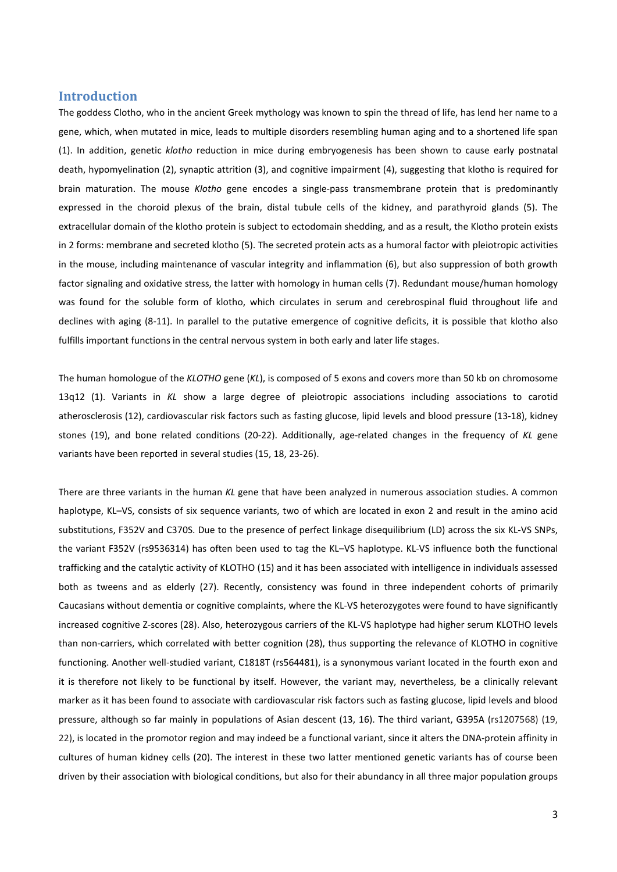# **Introduction**

The goddess Clotho, who in the ancient Greek mythology was known to spin the thread of life, has lend her name to a gene, which, when mutated in mice, leads to multiple disorders resembling human aging and to a shortened life span (1). In addition, genetic *klotho* reduction in mice during embryogenesis has been shown to cause early postnatal death, hypomyelination (2), synaptic attrition (3), and cognitive impairment (4), suggesting that klotho is required for brain maturation. The mouse *Klotho* gene encodes a single-pass transmembrane protein that is predominantly expressed in the choroid plexus of the brain, distal tubule cells of the kidney, and parathyroid glands (5). The extracellular domain of the klotho protein is subject to ectodomain shedding, and as a result, the Klotho protein exists in 2 forms: membrane and secreted klotho (5). The secreted protein acts as a humoral factor with pleiotropic activities in the mouse, including maintenance of vascular integrity and inflammation (6), but also suppression of both growth factor signaling and oxidative stress, the latter with homology in human cells (7). Redundant mouse/human homology was found for the soluble form of klotho, which circulates in serum and cerebrospinal fluid throughout life and declines with aging (8-11). In parallel to the putative emergence of cognitive deficits, it is possible that klotho also fulfills important functions in the central nervous system in both early and later life stages.

The human homologue of the *KLOTHO* gene (*KL*), is composed of 5 exons and covers more than 50 kb on chromosome 13q12 (1). Variants in *KL* show a large degree of pleiotropic associations including associations to carotid atherosclerosis (12), cardiovascular risk factors such as fasting glucose, lipid levels and blood pressure (13-18), kidney stones (19), and bone related conditions (20-22). Additionally, age-related changes in the frequency of *KL* gene variants have been reported in several studies (15, 18, 23-26).

There are three variants in the human *KL* gene that have been analyzed in numerous association studies. A common haplotype, KL–VS, consists of six sequence variants, two of which are located in exon 2 and result in the amino acid substitutions, F352V and C370S. Due to the presence of perfect linkage disequilibrium (LD) across the six KL-VS SNPs, the variant F352V (rs9536314) has often been used to tag the KL–VS haplotype. KL-VS influence both the functional trafficking and the catalytic activity of KLOTHO (15) and it has been associated with intelligence in individuals assessed both as tweens and as elderly (27). Recently, consistency was found in three independent cohorts of primarily Caucasians without dementia or cognitive complaints, where the KL-VS heterozygotes were found to have significantly increased cognitive Z-scores (28). Also, heterozygous carriers of the KL-VS haplotype had higher serum KLOTHO levels than non-carriers, which correlated with better cognition (28), thus supporting the relevance of KLOTHO in cognitive functioning. Another well-studied variant, C1818T (rs564481), is a synonymous variant located in the fourth exon and it is therefore not likely to be functional by itself. However, the variant may, nevertheless, be a clinically relevant marker as it has been found to associate with cardiovascular risk factors such as fasting glucose, lipid levels and blood pressure, although so far mainly in populations of Asian descent (13, 16). The third variant, G395A (rs1207568) (19, 22), is located in the promotor region and may indeed be a functional variant, since it alters the DNA-protein affinity in cultures of human kidney cells (20). The interest in these two latter mentioned genetic variants has of course been driven by their association with biological conditions, but also for their abundancy in all three major population groups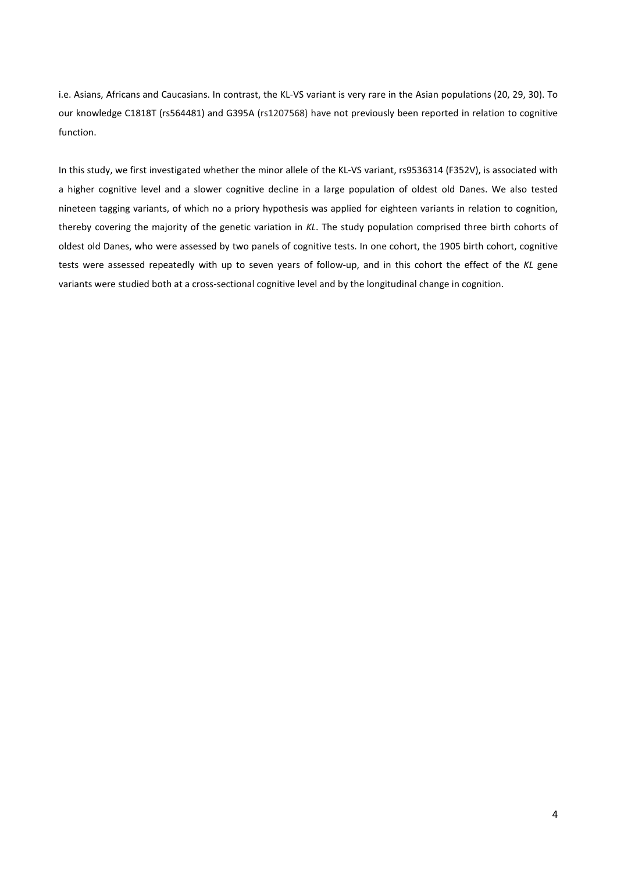i.e. Asians, Africans and Caucasians. In contrast, the KL-VS variant is very rare in the Asian populations (20, 29, 30). To our knowledge C1818T (rs564481) and G395A (rs1207568) have not previously been reported in relation to cognitive function.

In this study, we first investigated whether the minor allele of the KL-VS variant, rs9536314 (F352V), is associated with a higher cognitive level and a slower cognitive decline in a large population of oldest old Danes. We also tested nineteen tagging variants, of which no a priory hypothesis was applied for eighteen variants in relation to cognition, thereby covering the majority of the genetic variation in *KL*. The study population comprised three birth cohorts of oldest old Danes, who were assessed by two panels of cognitive tests. In one cohort, the 1905 birth cohort, cognitive tests were assessed repeatedly with up to seven years of follow-up, and in this cohort the effect of the *KL* gene variants were studied both at a cross-sectional cognitive level and by the longitudinal change in cognition.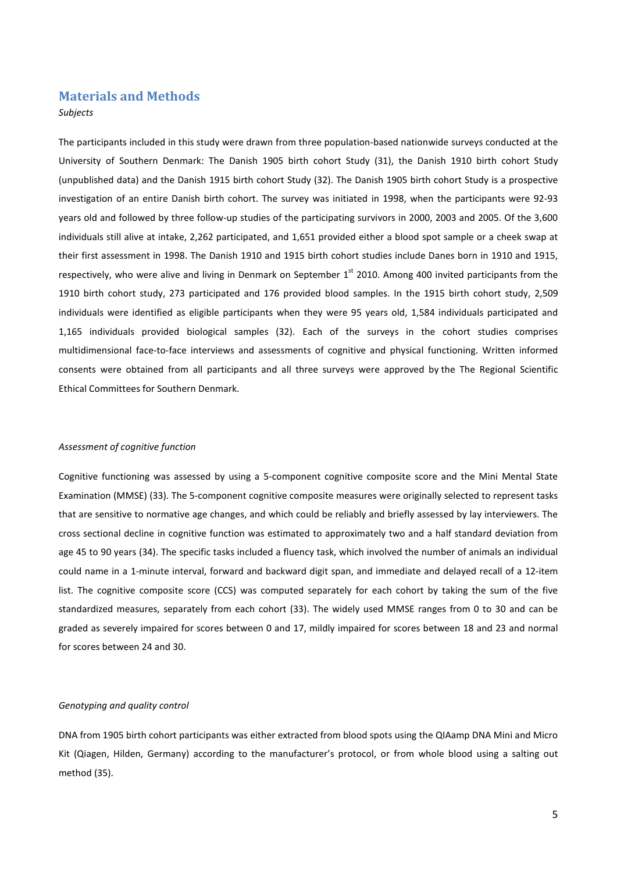# **Materials and Methods**

## *Subjects*

The participants included in this study were drawn from three population-based nationwide surveys conducted at the University of Southern Denmark: The Danish 1905 birth cohort Study (31), the Danish 1910 birth cohort Study (unpublished data) and the Danish 1915 birth cohort Study (32). The Danish 1905 birth cohort Study is a prospective investigation of an entire Danish birth cohort. The survey was initiated in 1998, when the participants were 92-93 years old and followed by three follow-up studies of the participating survivors in 2000, 2003 and 2005. Of the 3,600 individuals still alive at intake, 2,262 participated, and 1,651 provided either a blood spot sample or a cheek swap at their first assessment in 1998. The Danish 1910 and 1915 birth cohort studies include Danes born in 1910 and 1915, respectively, who were alive and living in Denmark on September 1<sup>st</sup> 2010. Among 400 invited participants from the 1910 birth cohort study, 273 participated and 176 provided blood samples. In the 1915 birth cohort study, 2,509 individuals were identified as eligible participants when they were 95 years old, 1,584 individuals participated and 1,165 individuals provided biological samples (32). Each of the surveys in the cohort studies comprises multidimensional face-to-face interviews and assessments of cognitive and physical functioning. Written informed consents were obtained from all participants and all three surveys were approved by the The Regional Scientific Ethical Committees for Southern Denmark.

## *Assessment of cognitive function*

Cognitive functioning was assessed by using a 5-component cognitive composite score and the Mini Mental State Examination (MMSE) (33). The 5-component cognitive composite measures were originally selected to represent tasks that are sensitive to normative age changes, and which could be reliably and briefly assessed by lay interviewers. The cross sectional decline in cognitive function was estimated to approximately two and a half standard deviation from age 45 to 90 years (34). The specific tasks included a fluency task, which involved the number of animals an individual could name in a 1-minute interval, forward and backward digit span, and immediate and delayed recall of a 12-item list. The cognitive composite score (CCS) was computed separately for each cohort by taking the sum of the five standardized measures, separately from each cohort (33). The widely used MMSE ranges from 0 to 30 and can be graded as severely impaired for scores between 0 and 17, mildly impaired for scores between 18 and 23 and normal for scores between 24 and 30.

#### *Genotyping and quality control*

DNA from 1905 birth cohort participants was either extracted from blood spots using the QIAamp DNA Mini and Micro Kit (Qiagen, Hilden, Germany) according to the manufacturer's protocol, or from whole blood using a salting out method (35).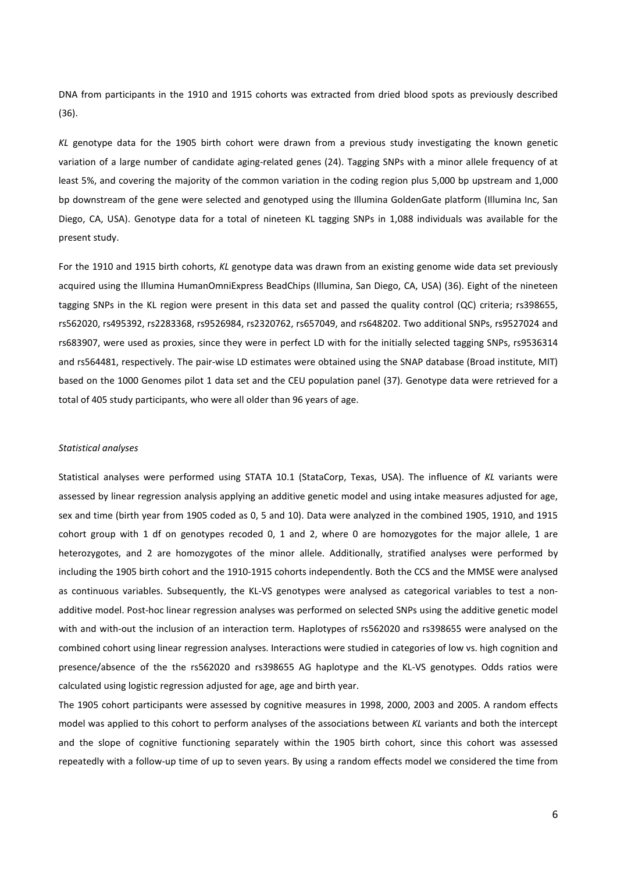DNA from participants in the 1910 and 1915 cohorts was extracted from dried blood spots as previously described (36).

*KL* genotype data for the 1905 birth cohort were drawn from a previous study investigating the known genetic variation of a large number of candidate aging-related genes (24). Tagging SNPs with a minor allele frequency of at least 5%, and covering the majority of the common variation in the coding region plus 5,000 bp upstream and 1,000 bp downstream of the gene were selected and genotyped using the Illumina GoldenGate platform (Illumina Inc, San Diego, CA, USA). Genotype data for a total of nineteen KL tagging SNPs in 1,088 individuals was available for the present study.

For the 1910 and 1915 birth cohorts, *KL* genotype data was drawn from an existing genome wide data set previously acquired using the Illumina HumanOmniExpress BeadChips (Illumina, San Diego, CA, USA) (36). Eight of the nineteen tagging SNPs in the KL region were present in this data set and passed the quality control (QC) criteria; rs398655, rs562020, rs495392, rs2283368, rs9526984, rs2320762, rs657049, and rs648202. Two additional SNPs, rs9527024 and rs683907, were used as proxies, since they were in perfect LD with for the initially selected tagging SNPs, rs9536314 and rs564481, respectively. The pair-wise LD estimates were obtained using the SNAP database (Broad institute, MIT) based on the 1000 Genomes pilot 1 data set and the CEU population panel (37). Genotype data were retrieved for a total of 405 study participants, who were all older than 96 years of age.

## *Statistical analyses*

Statistical analyses were performed using STATA 10.1 (StataCorp, Texas, USA). The influence of *KL* variants were assessed by linear regression analysis applying an additive genetic model and using intake measures adjusted for age, sex and time (birth year from 1905 coded as 0, 5 and 10). Data were analyzed in the combined 1905, 1910, and 1915 cohort group with 1 df on genotypes recoded 0, 1 and 2, where 0 are homozygotes for the major allele, 1 are heterozygotes, and 2 are homozygotes of the minor allele. Additionally, stratified analyses were performed by including the 1905 birth cohort and the 1910-1915 cohorts independently. Both the CCS and the MMSE were analysed as continuous variables. Subsequently, the KL-VS genotypes were analysed as categorical variables to test a nonadditive model. Post-hoc linear regression analyses was performed on selected SNPs using the additive genetic model with and with-out the inclusion of an interaction term. Haplotypes of rs562020 and rs398655 were analysed on the combined cohort using linear regression analyses. Interactions were studied in categories of low vs. high cognition and presence/absence of the the rs562020 and rs398655 AG haplotype and the KL-VS genotypes. Odds ratios were calculated using logistic regression adjusted for age, age and birth year.

The 1905 cohort participants were assessed by cognitive measures in 1998, 2000, 2003 and 2005. A random effects model was applied to this cohort to perform analyses of the associations between *KL* variants and both the intercept and the slope of cognitive functioning separately within the 1905 birth cohort, since this cohort was assessed repeatedly with a follow-up time of up to seven years. By using a random effects model we considered the time from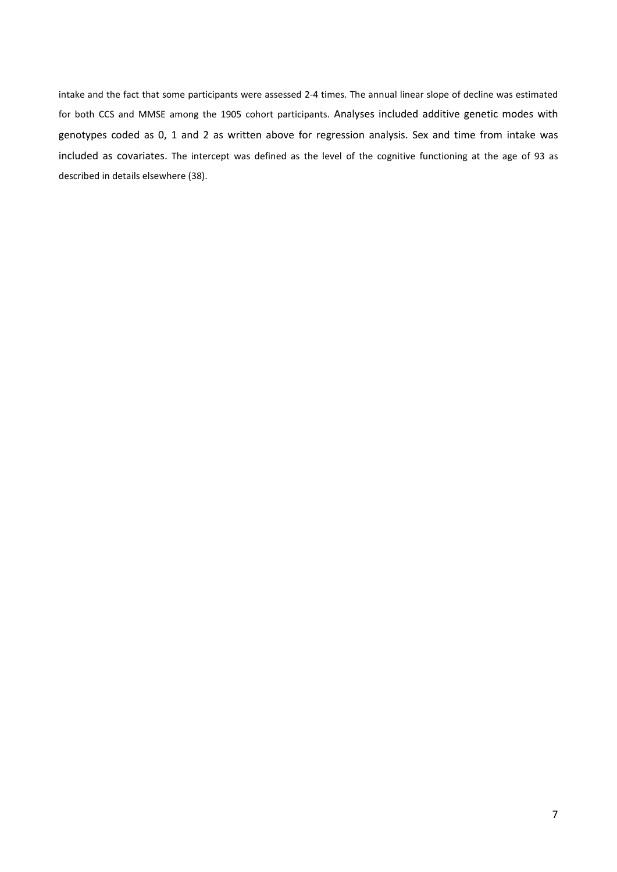intake and the fact that some participants were assessed 2-4 times. The annual linear slope of decline was estimated for both CCS and MMSE among the 1905 cohort participants. Analyses included additive genetic modes with genotypes coded as 0, 1 and 2 as written above for regression analysis. Sex and time from intake was included as covariates. The intercept was defined as the level of the cognitive functioning at the age of 93 as described in details elsewhere (38).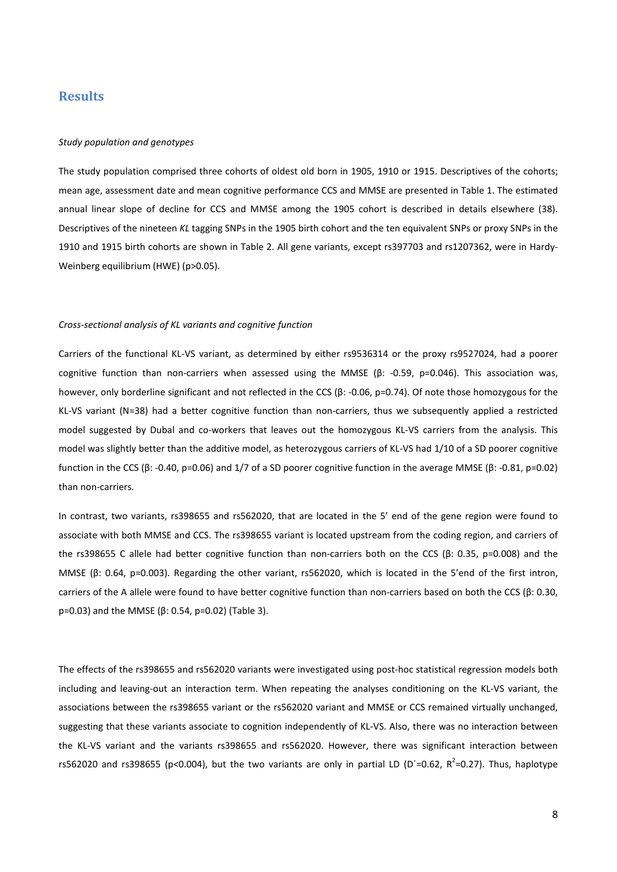# **Results**

#### *Study population and genotypes*

The study population comprised three cohorts of oldest old born in 1905, 1910 or 1915. Descriptives of the cohorts; mean age, assessment date and mean cognitive performance CCS and MMSE are presented in Table 1. The estimated annual linear slope of decline for CCS and MMSE among the 1905 cohort is described in details elsewhere (38). Descriptives of the nineteen *KL* tagging SNPs in the 1905 birth cohort and the ten equivalent SNPs or proxy SNPs in the 1910 and 1915 birth cohorts are shown in Table 2. All gene variants, except rs397703 and rs1207362, were in Hardy-Weinberg equilibrium (HWE) (p>0.05).

#### *Cross-sectional analysis of KL variants and cognitive function*

Carriers of the functional KL-VS variant, as determined by either rs9536314 or the proxy rs9527024, had a poorer cognitive function than non-carriers when assessed using the MMSE (β: -0.59, p=0.046). This association was, however, only borderline significant and not reflected in the CCS (β: -0.06, p=0.74). Of note those homozygous for the KL-VS variant (N=38) had a better cognitive function than non-carriers, thus we subsequently applied a restricted model suggested by Dubal and co-workers that leaves out the homozygous KL-VS carriers from the analysis. This model was slightly better than the additive model, as heterozygous carriers of KL-VS had 1/10 of a SD poorer cognitive function in the CCS (β: -0.40, p=0.06) and 1/7 of a SD poorer cognitive function in the average MMSE (β: -0.81, p=0.02) than non-carriers.

In contrast, two variants, rs398655 and rs562020, that are located in the 5' end of the gene region were found to associate with both MMSE and CCS. The rs398655 variant is located upstream from the coding region, and carriers of the rs398655 C allele had better cognitive function than non-carriers both on the CCS (β: 0.35, p=0.008) and the MMSE (β: 0.64, p=0.003). Regarding the other variant, rs562020, which is located in the 5'end of the first intron, carriers of the A allele were found to have better cognitive function than non-carriers based on both the CCS (β: 0.30, p=0.03) and the MMSE (β: 0.54, p=0.02) (Table 3).

The effects of the rs398655 and rs562020 variants were investigated using post-hoc statistical regression models both including and leaving-out an interaction term. When repeating the analyses conditioning on the KL-VS variant, the associations between the rs398655 variant or the rs562020 variant and MMSE or CCS remained virtually unchanged, suggesting that these variants associate to cognition independently of KL-VS. Also, there was no interaction between the KL-VS variant and the variants rs398655 and rs562020. However, there was significant interaction between rs562020 and rs398655 (p<0.004), but the two variants are only in partial LD (D'=0.62, R<sup>2</sup>=0.27). Thus, haplotype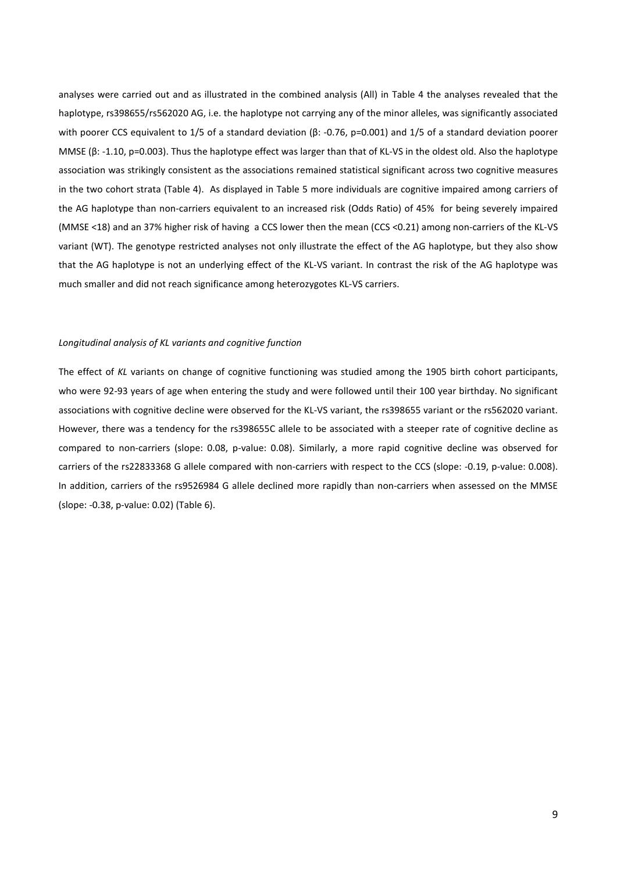analyses were carried out and as illustrated in the combined analysis (All) in Table 4 the analyses revealed that the haplotype, rs398655/rs562020 AG, i.e. the haplotype not carrying any of the minor alleles, was significantly associated with poorer CCS equivalent to 1/5 of a standard deviation (β: -0.76, p=0.001) and 1/5 of a standard deviation poorer MMSE (β: -1.10, p=0.003). Thus the haplotype effect was larger than that of KL-VS in the oldest old. Also the haplotype association was strikingly consistent as the associations remained statistical significant across two cognitive measures in the two cohort strata (Table 4). As displayed in Table 5 more individuals are cognitive impaired among carriers of the AG haplotype than non-carriers equivalent to an increased risk (Odds Ratio) of 45% for being severely impaired (MMSE <18) and an 37% higher risk of having a CCS lower then the mean (CCS <0.21) among non-carriers of the KL-VS variant (WT). The genotype restricted analyses not only illustrate the effect of the AG haplotype, but they also show that the AG haplotype is not an underlying effect of the KL-VS variant. In contrast the risk of the AG haplotype was much smaller and did not reach significance among heterozygotes KL-VS carriers.

## *Longitudinal analysis of KL variants and cognitive function*

The effect of *KL* variants on change of cognitive functioning was studied among the 1905 birth cohort participants, who were 92-93 years of age when entering the study and were followed until their 100 year birthday. No significant associations with cognitive decline were observed for the KL-VS variant, the rs398655 variant or the rs562020 variant. However, there was a tendency for the rs398655C allele to be associated with a steeper rate of cognitive decline as compared to non-carriers (slope: 0.08, p-value: 0.08). Similarly, a more rapid cognitive decline was observed for carriers of the rs22833368 G allele compared with non-carriers with respect to the CCS (slope: -0.19, p-value: 0.008). In addition, carriers of the rs9526984 G allele declined more rapidly than non-carriers when assessed on the MMSE (slope: -0.38, p-value: 0.02) (Table 6).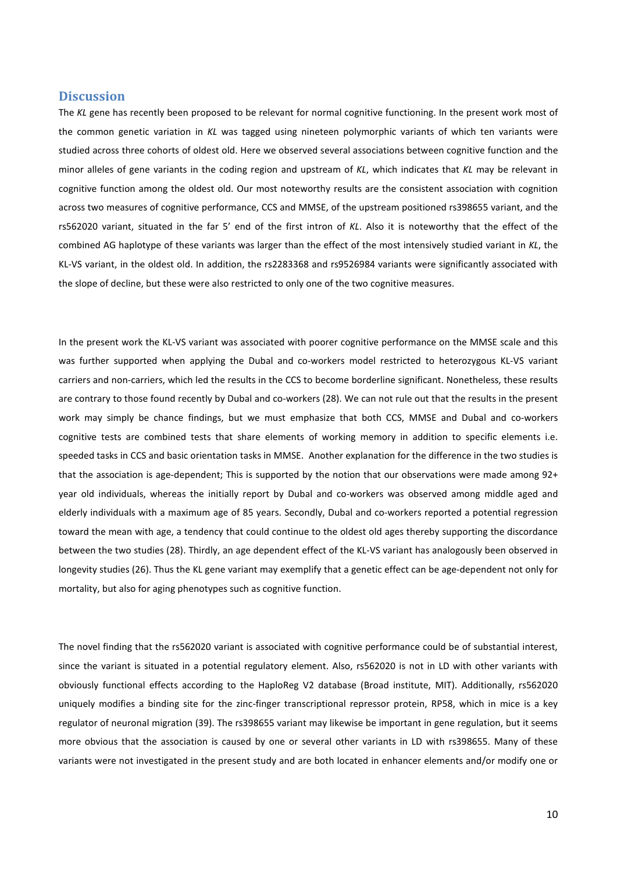# **Discussion**

The *KL* gene has recently been proposed to be relevant for normal cognitive functioning. In the present work most of the common genetic variation in *KL* was tagged using nineteen polymorphic variants of which ten variants were studied across three cohorts of oldest old. Here we observed several associations between cognitive function and the minor alleles of gene variants in the coding region and upstream of *KL*, which indicates that *KL* may be relevant in cognitive function among the oldest old. Our most noteworthy results are the consistent association with cognition across two measures of cognitive performance, CCS and MMSE, of the upstream positioned rs398655 variant, and the rs562020 variant, situated in the far 5' end of the first intron of *KL*. Also it is noteworthy that the effect of the combined AG haplotype of these variants was larger than the effect of the most intensively studied variant in *KL*, the KL-VS variant, in the oldest old. In addition, the rs2283368 and rs9526984 variants were significantly associated with the slope of decline, but these were also restricted to only one of the two cognitive measures.

In the present work the KL-VS variant was associated with poorer cognitive performance on the MMSE scale and this was further supported when applying the Dubal and co-workers model restricted to heterozygous KL-VS variant carriers and non-carriers, which led the results in the CCS to become borderline significant. Nonetheless, these results are contrary to those found recently by Dubal and co-workers (28). We can not rule out that the results in the present work may simply be chance findings, but we must emphasize that both CCS, MMSE and Dubal and co-workers cognitive tests are combined tests that share elements of working memory in addition to specific elements i.e. speeded tasks in CCS and basic orientation tasks in MMSE. Another explanation for the difference in the two studies is that the association is age-dependent; This is supported by the notion that our observations were made among 92+ year old individuals, whereas the initially report by Dubal and co-workers was observed among middle aged and elderly individuals with a maximum age of 85 years. Secondly, Dubal and co-workers reported a potential regression toward the mean with age, a tendency that could continue to the oldest old ages thereby supporting the discordance between the two studies (28). Thirdly, an age dependent effect of the KL-VS variant has analogously been observed in longevity studies (26). Thus the KL gene variant may exemplify that a genetic effect can be age-dependent not only for mortality, but also for aging phenotypes such as cognitive function.

The novel finding that the rs562020 variant is associated with cognitive performance could be of substantial interest, since the variant is situated in a potential regulatory element. Also, rs562020 is not in LD with other variants with obviously functional effects according to the HaploReg V2 database (Broad institute, MIT). Additionally, rs562020 uniquely modifies a binding site for the zinc-finger transcriptional repressor protein, RP58, which in mice is a key regulator of neuronal migration (39). The rs398655 variant may likewise be important in gene regulation, but it seems more obvious that the association is caused by one or several other variants in LD with rs398655. Many of these variants were not investigated in the present study and are both located in enhancer elements and/or modify one or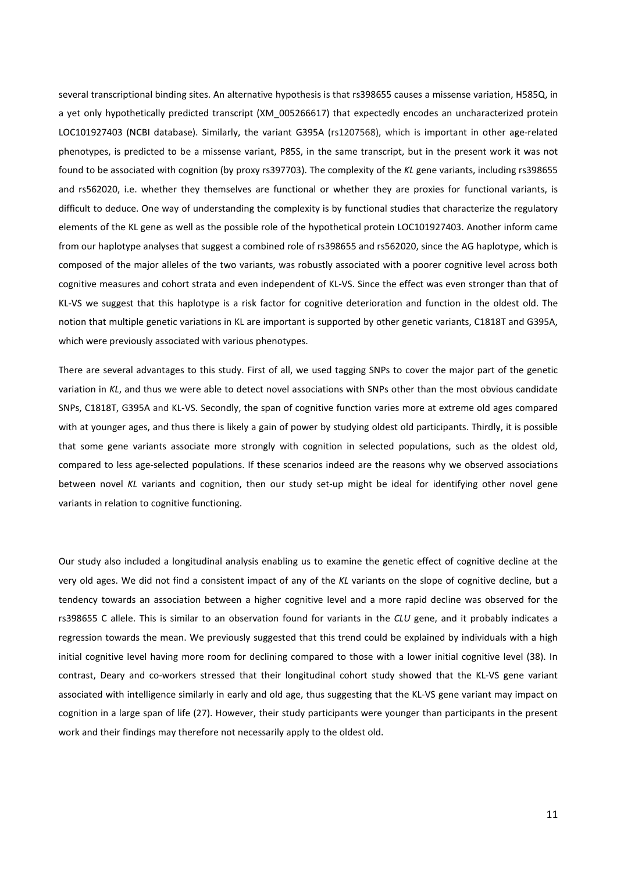several transcriptional binding sites. An alternative hypothesis is that rs398655 causes a missense variation, H585Q, in a yet only hypothetically predicted transcript (XM\_005266617) that expectedly encodes an uncharacterized protein LOC101927403 (NCBI database). Similarly, the variant G395A (rs1207568), which is important in other age-related phenotypes, is predicted to be a missense variant, P85S, in the same transcript, but in the present work it was not found to be associated with cognition (by proxy rs397703). The complexity of the *KL* gene variants, including rs398655 and rs562020, i.e. whether they themselves are functional or whether they are proxies for functional variants, is difficult to deduce. One way of understanding the complexity is by functional studies that characterize the regulatory elements of the KL gene as well as the possible role of the hypothetical protein LOC101927403. Another inform came from our haplotype analyses that suggest a combined role of rs398655 and rs562020, since the AG haplotype, which is composed of the major alleles of the two variants, was robustly associated with a poorer cognitive level across both cognitive measures and cohort strata and even independent of KL-VS. Since the effect was even stronger than that of KL-VS we suggest that this haplotype is a risk factor for cognitive deterioration and function in the oldest old. The notion that multiple genetic variations in KL are important is supported by other genetic variants, C1818T and G395A, which were previously associated with various phenotypes.

There are several advantages to this study. First of all, we used tagging SNPs to cover the major part of the genetic variation in *KL*, and thus we were able to detect novel associations with SNPs other than the most obvious candidate SNPs, C1818T, G395A and KL-VS. Secondly, the span of cognitive function varies more at extreme old ages compared with at younger ages, and thus there is likely a gain of power by studying oldest old participants. Thirdly, it is possible that some gene variants associate more strongly with cognition in selected populations, such as the oldest old, compared to less age-selected populations. If these scenarios indeed are the reasons why we observed associations between novel *KL* variants and cognition, then our study set-up might be ideal for identifying other novel gene variants in relation to cognitive functioning.

Our study also included a longitudinal analysis enabling us to examine the genetic effect of cognitive decline at the very old ages. We did not find a consistent impact of any of the *KL* variants on the slope of cognitive decline, but a tendency towards an association between a higher cognitive level and a more rapid decline was observed for the rs398655 C allele. This is similar to an observation found for variants in the *CLU* gene, and it probably indicates a regression towards the mean. We previously suggested that this trend could be explained by individuals with a high initial cognitive level having more room for declining compared to those with a lower initial cognitive level (38). In contrast, Deary and co-workers stressed that their longitudinal cohort study showed that the KL-VS gene variant associated with intelligence similarly in early and old age, thus suggesting that the KL-VS gene variant may impact on cognition in a large span of life (27). However, their study participants were younger than participants in the present work and their findings may therefore not necessarily apply to the oldest old.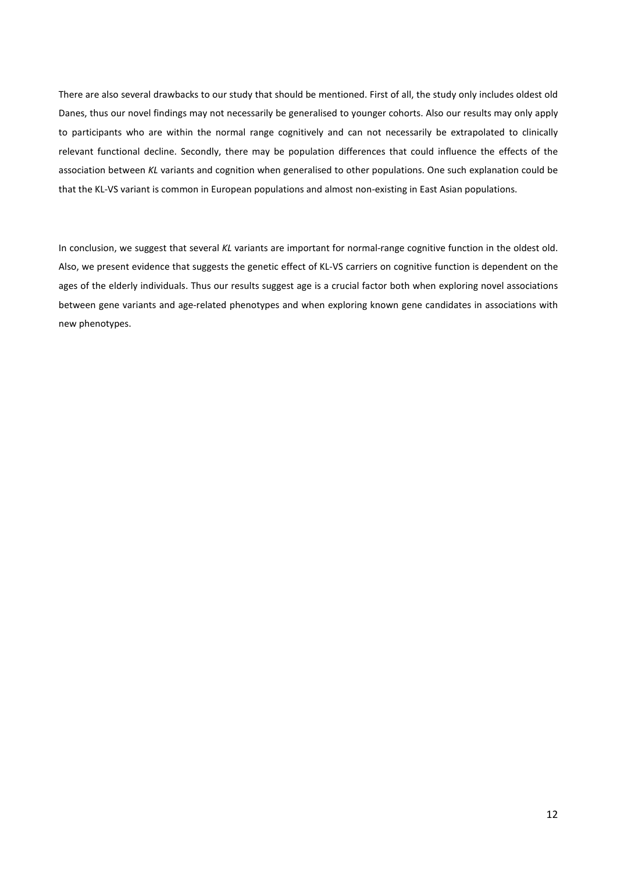There are also several drawbacks to our study that should be mentioned. First of all, the study only includes oldest old Danes, thus our novel findings may not necessarily be generalised to younger cohorts. Also our results may only apply to participants who are within the normal range cognitively and can not necessarily be extrapolated to clinically relevant functional decline. Secondly, there may be population differences that could influence the effects of the association between *KL* variants and cognition when generalised to other populations. One such explanation could be that the KL-VS variant is common in European populations and almost non-existing in East Asian populations.

In conclusion, we suggest that several *KL* variants are important for normal-range cognitive function in the oldest old. Also, we present evidence that suggests the genetic effect of KL-VS carriers on cognitive function is dependent on the ages of the elderly individuals. Thus our results suggest age is a crucial factor both when exploring novel associations between gene variants and age-related phenotypes and when exploring known gene candidates in associations with new phenotypes.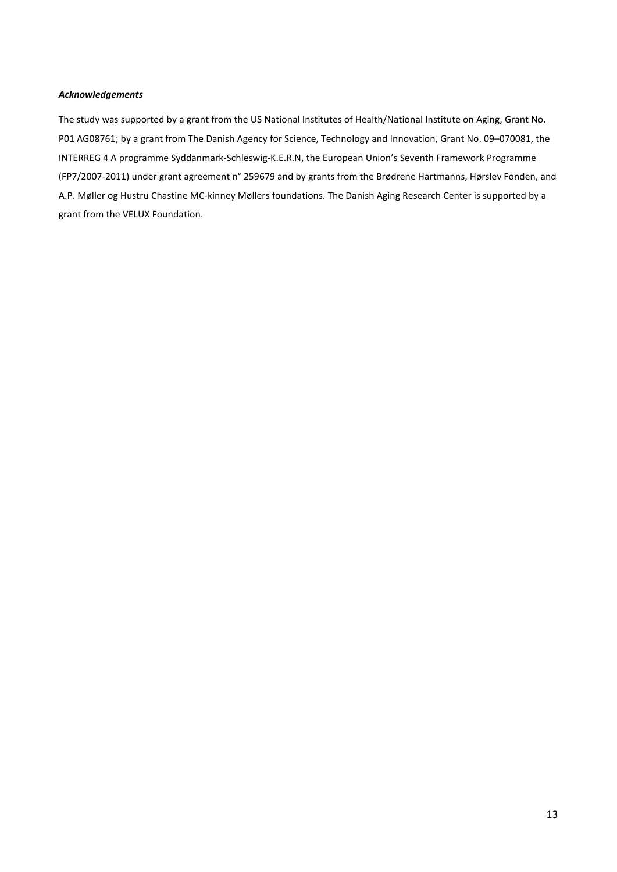## *Acknowledgements*

The study was supported by a grant from the US National Institutes of Health/National Institute on Aging, Grant No. P01 AG08761; by a grant from The Danish Agency for Science, Technology and Innovation, Grant No. 09–070081, the INTERREG 4 A programme Syddanmark-Schleswig-K.E.R.N, the European Union's Seventh Framework Programme (FP7/2007-2011) under grant agreement n° 259679 and by grants from the Brødrene Hartmanns, Hørslev Fonden, and A.P. Møller og Hustru Chastine MC-kinney Møllers foundations. The Danish Aging Research Center is supported by a grant from the VELUX Foundation.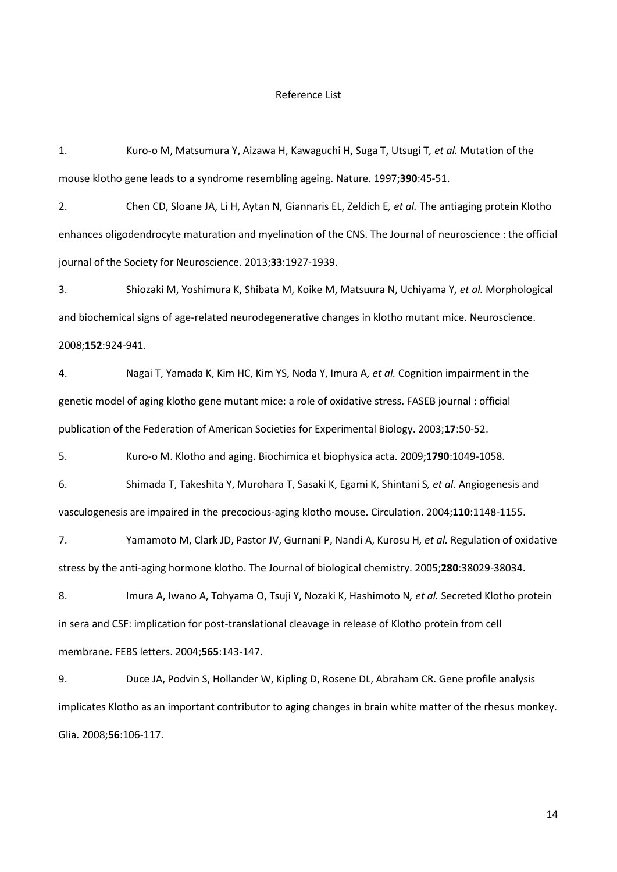## Reference List

1. Kuro-o M, Matsumura Y, Aizawa H, Kawaguchi H, Suga T, Utsugi T*, et al.* Mutation of the mouse klotho gene leads to a syndrome resembling ageing. Nature. 1997;**390**:45-51.

2. Chen CD, Sloane JA, Li H, Aytan N, Giannaris EL, Zeldich E*, et al.* The antiaging protein Klotho enhances oligodendrocyte maturation and myelination of the CNS. The Journal of neuroscience : the official journal of the Society for Neuroscience. 2013;**33**:1927-1939.

3. Shiozaki M, Yoshimura K, Shibata M, Koike M, Matsuura N, Uchiyama Y*, et al.* Morphological and biochemical signs of age-related neurodegenerative changes in klotho mutant mice. Neuroscience. 2008;**152**:924-941.

4. Nagai T, Yamada K, Kim HC, Kim YS, Noda Y, Imura A*, et al.* Cognition impairment in the genetic model of aging klotho gene mutant mice: a role of oxidative stress. FASEB journal : official publication of the Federation of American Societies for Experimental Biology. 2003;**17**:50-52.

5. Kuro-o M. Klotho and aging. Biochimica et biophysica acta. 2009;**1790**:1049-1058.

6. Shimada T, Takeshita Y, Murohara T, Sasaki K, Egami K, Shintani S*, et al.* Angiogenesis and vasculogenesis are impaired in the precocious-aging klotho mouse. Circulation. 2004;**110**:1148-1155.

7. Yamamoto M, Clark JD, Pastor JV, Gurnani P, Nandi A, Kurosu H*, et al.* Regulation of oxidative stress by the anti-aging hormone klotho. The Journal of biological chemistry. 2005;**280**:38029-38034.

8. Imura A, Iwano A, Tohyama O, Tsuji Y, Nozaki K, Hashimoto N*, et al.* Secreted Klotho protein in sera and CSF: implication for post-translational cleavage in release of Klotho protein from cell membrane. FEBS letters. 2004;**565**:143-147.

9. Duce JA, Podvin S, Hollander W, Kipling D, Rosene DL, Abraham CR. Gene profile analysis implicates Klotho as an important contributor to aging changes in brain white matter of the rhesus monkey. Glia. 2008;**56**:106-117.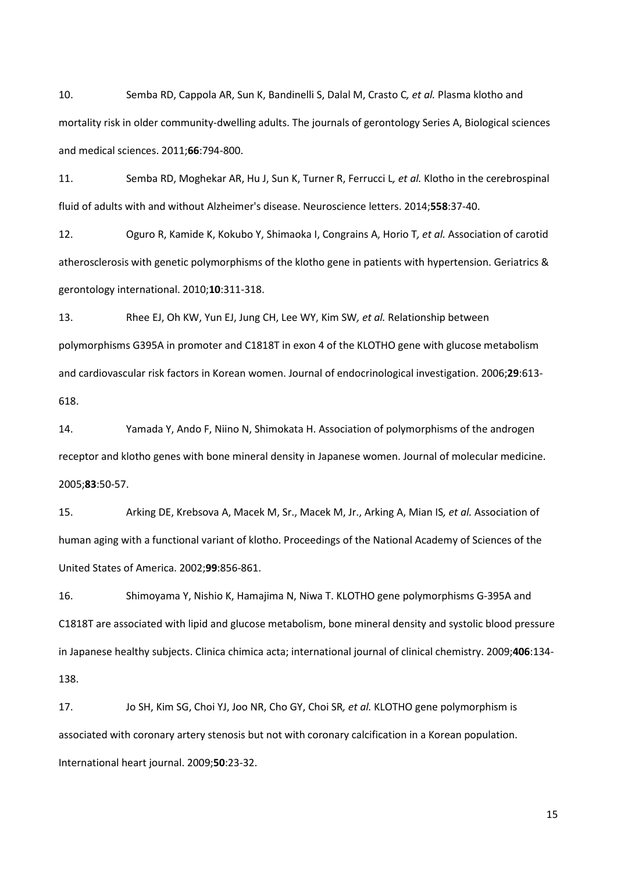10. Semba RD, Cappola AR, Sun K, Bandinelli S, Dalal M, Crasto C*, et al.* Plasma klotho and mortality risk in older community-dwelling adults. The journals of gerontology Series A, Biological sciences and medical sciences. 2011;**66**:794-800.

11. Semba RD, Moghekar AR, Hu J, Sun K, Turner R, Ferrucci L*, et al.* Klotho in the cerebrospinal fluid of adults with and without Alzheimer's disease. Neuroscience letters. 2014;**558**:37-40.

12. Oguro R, Kamide K, Kokubo Y, Shimaoka I, Congrains A, Horio T*, et al.* Association of carotid atherosclerosis with genetic polymorphisms of the klotho gene in patients with hypertension. Geriatrics & gerontology international. 2010;**10**:311-318.

13. Rhee EJ, Oh KW, Yun EJ, Jung CH, Lee WY, Kim SW*, et al.* Relationship between polymorphisms G395A in promoter and C1818T in exon 4 of the KLOTHO gene with glucose metabolism and cardiovascular risk factors in Korean women. Journal of endocrinological investigation. 2006;**29**:613- 618.

14. Yamada Y, Ando F, Niino N, Shimokata H. Association of polymorphisms of the androgen receptor and klotho genes with bone mineral density in Japanese women. Journal of molecular medicine. 2005;**83**:50-57.

15. Arking DE, Krebsova A, Macek M, Sr., Macek M, Jr., Arking A, Mian IS*, et al.* Association of human aging with a functional variant of klotho. Proceedings of the National Academy of Sciences of the United States of America. 2002;**99**:856-861.

16. Shimoyama Y, Nishio K, Hamajima N, Niwa T. KLOTHO gene polymorphisms G-395A and C1818T are associated with lipid and glucose metabolism, bone mineral density and systolic blood pressure in Japanese healthy subjects. Clinica chimica acta; international journal of clinical chemistry. 2009;**406**:134- 138.

17. Jo SH, Kim SG, Choi YJ, Joo NR, Cho GY, Choi SR*, et al.* KLOTHO gene polymorphism is associated with coronary artery stenosis but not with coronary calcification in a Korean population. International heart journal. 2009;**50**:23-32.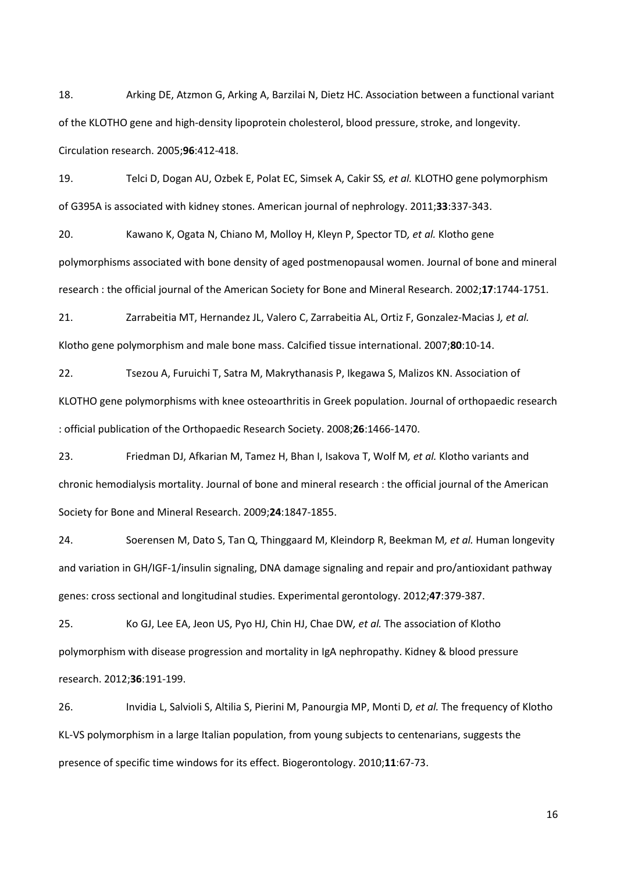18. Arking DE, Atzmon G, Arking A, Barzilai N, Dietz HC. Association between a functional variant of the KLOTHO gene and high-density lipoprotein cholesterol, blood pressure, stroke, and longevity. Circulation research. 2005;**96**:412-418.

19. Telci D, Dogan AU, Ozbek E, Polat EC, Simsek A, Cakir SS*, et al.* KLOTHO gene polymorphism of G395A is associated with kidney stones. American journal of nephrology. 2011;**33**:337-343.

20. Kawano K, Ogata N, Chiano M, Molloy H, Kleyn P, Spector TD*, et al.* Klotho gene polymorphisms associated with bone density of aged postmenopausal women. Journal of bone and mineral research : the official journal of the American Society for Bone and Mineral Research. 2002;**17**:1744-1751.

21. Zarrabeitia MT, Hernandez JL, Valero C, Zarrabeitia AL, Ortiz F, Gonzalez-Macias J*, et al.* Klotho gene polymorphism and male bone mass. Calcified tissue international. 2007;**80**:10-14.

22. Tsezou A, Furuichi T, Satra M, Makrythanasis P, Ikegawa S, Malizos KN. Association of KLOTHO gene polymorphisms with knee osteoarthritis in Greek population. Journal of orthopaedic research : official publication of the Orthopaedic Research Society. 2008;**26**:1466-1470.

23. Friedman DJ, Afkarian M, Tamez H, Bhan I, Isakova T, Wolf M*, et al.* Klotho variants and chronic hemodialysis mortality. Journal of bone and mineral research : the official journal of the American Society for Bone and Mineral Research. 2009;**24**:1847-1855.

24. Soerensen M, Dato S, Tan Q, Thinggaard M, Kleindorp R, Beekman M*, et al.* Human longevity and variation in GH/IGF-1/insulin signaling, DNA damage signaling and repair and pro/antioxidant pathway genes: cross sectional and longitudinal studies. Experimental gerontology. 2012;**47**:379-387.

25. Ko GJ, Lee EA, Jeon US, Pyo HJ, Chin HJ, Chae DW*, et al.* The association of Klotho polymorphism with disease progression and mortality in IgA nephropathy. Kidney & blood pressure research. 2012;**36**:191-199.

26. Invidia L, Salvioli S, Altilia S, Pierini M, Panourgia MP, Monti D*, et al.* The frequency of Klotho KL-VS polymorphism in a large Italian population, from young subjects to centenarians, suggests the presence of specific time windows for its effect. Biogerontology. 2010;**11**:67-73.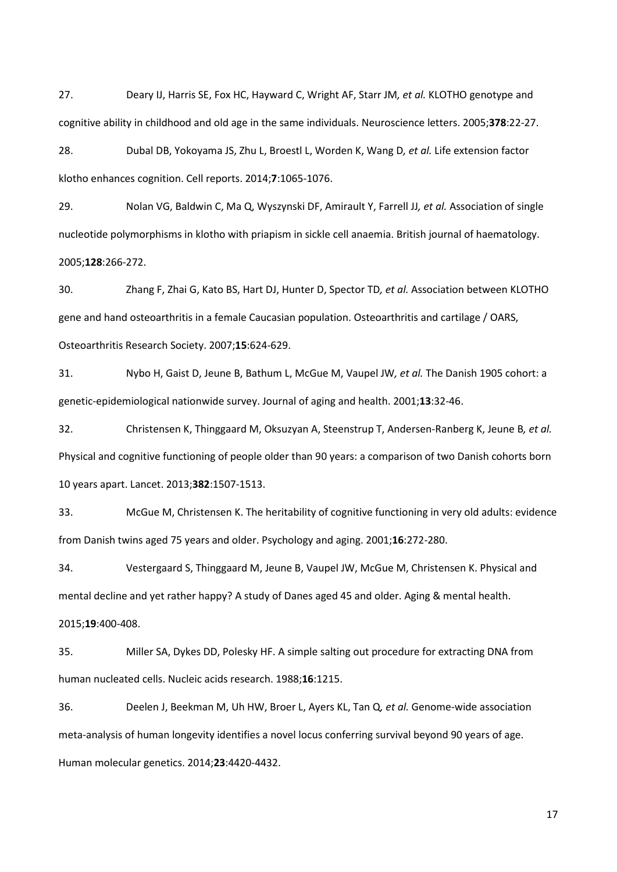27. Deary IJ, Harris SE, Fox HC, Hayward C, Wright AF, Starr JM*, et al.* KLOTHO genotype and cognitive ability in childhood and old age in the same individuals. Neuroscience letters. 2005;**378**:22-27.

28. Dubal DB, Yokoyama JS, Zhu L, Broestl L, Worden K, Wang D*, et al.* Life extension factor klotho enhances cognition. Cell reports. 2014;**7**:1065-1076.

29. Nolan VG, Baldwin C, Ma Q, Wyszynski DF, Amirault Y, Farrell JJ*, et al.* Association of single nucleotide polymorphisms in klotho with priapism in sickle cell anaemia. British journal of haematology. 2005;**128**:266-272.

30. Zhang F, Zhai G, Kato BS, Hart DJ, Hunter D, Spector TD*, et al.* Association between KLOTHO gene and hand osteoarthritis in a female Caucasian population. Osteoarthritis and cartilage / OARS, Osteoarthritis Research Society. 2007;**15**:624-629.

31. Nybo H, Gaist D, Jeune B, Bathum L, McGue M, Vaupel JW*, et al.* The Danish 1905 cohort: a genetic-epidemiological nationwide survey. Journal of aging and health. 2001;**13**:32-46.

32. Christensen K, Thinggaard M, Oksuzyan A, Steenstrup T, Andersen-Ranberg K, Jeune B*, et al.* Physical and cognitive functioning of people older than 90 years: a comparison of two Danish cohorts born 10 years apart. Lancet. 2013;**382**:1507-1513.

33. McGue M, Christensen K. The heritability of cognitive functioning in very old adults: evidence from Danish twins aged 75 years and older. Psychology and aging. 2001;**16**:272-280.

34. Vestergaard S, Thinggaard M, Jeune B, Vaupel JW, McGue M, Christensen K. Physical and mental decline and yet rather happy? A study of Danes aged 45 and older. Aging & mental health. 2015;**19**:400-408.

35. Miller SA, Dykes DD, Polesky HF. A simple salting out procedure for extracting DNA from human nucleated cells. Nucleic acids research. 1988;**16**:1215.

36. Deelen J, Beekman M, Uh HW, Broer L, Ayers KL, Tan Q*, et al.* Genome-wide association meta-analysis of human longevity identifies a novel locus conferring survival beyond 90 years of age. Human molecular genetics. 2014;**23**:4420-4432.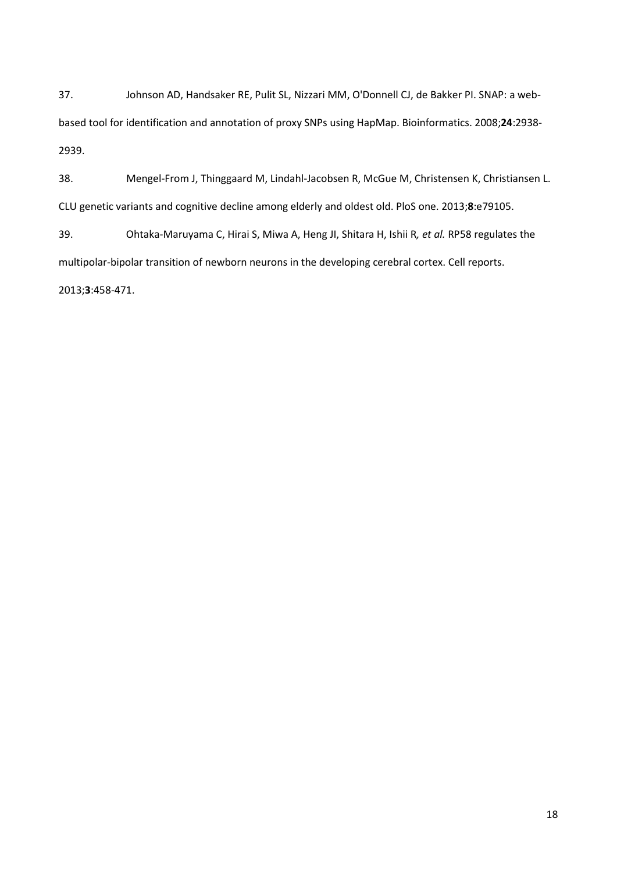37. Johnson AD, Handsaker RE, Pulit SL, Nizzari MM, O'Donnell CJ, de Bakker PI. SNAP: a webbased tool for identification and annotation of proxy SNPs using HapMap. Bioinformatics. 2008;**24**:2938- 2939.

38. Mengel-From J, Thinggaard M, Lindahl-Jacobsen R, McGue M, Christensen K, Christiansen L. CLU genetic variants and cognitive decline among elderly and oldest old. PloS one. 2013;**8**:e79105.

39. Ohtaka-Maruyama C, Hirai S, Miwa A, Heng JI, Shitara H, Ishii R*, et al.* RP58 regulates the multipolar-bipolar transition of newborn neurons in the developing cerebral cortex. Cell reports. 2013;**3**:458-471.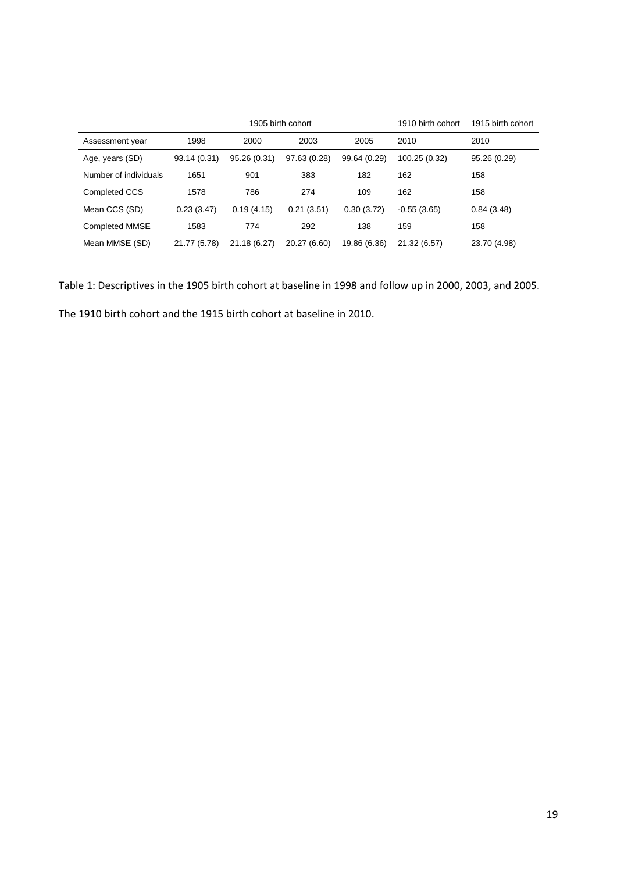|                       |              | 1905 birth cohort | 1910 birth cohort | 1915 birth cohort |               |              |
|-----------------------|--------------|-------------------|-------------------|-------------------|---------------|--------------|
| Assessment year       | 1998         | 2000              | 2003              | 2005              | 2010          | 2010         |
| Age, years (SD)       | 93.14 (0.31) | 95.26 (0.31)      | 97.63 (0.28)      | 99.64 (0.29)      | 100.25 (0.32) | 95.26 (0.29) |
| Number of individuals | 1651         | 901               | 383               | 182               | 162           | 158          |
| Completed CCS         | 1578         | 786               | 274               | 109               | 162           | 158          |
| Mean CCS (SD)         | 0.23(3.47)   | 0.19(4.15)        | 0.21(3.51)        | 0.30(3.72)        | $-0.55(3.65)$ | 0.84(3.48)   |
| Completed MMSE        | 1583         | 774               | 292               | 138               | 159           | 158          |
| Mean MMSE (SD)        | 21.77 (5.78) | 21.18 (6.27)      | 20.27 (6.60)      | 19.86 (6.36)      | 21.32 (6.57)  | 23.70 (4.98) |

Table 1: Descriptives in the 1905 birth cohort at baseline in 1998 and follow up in 2000, 2003, and 2005.

The 1910 birth cohort and the 1915 birth cohort at baseline in 2010.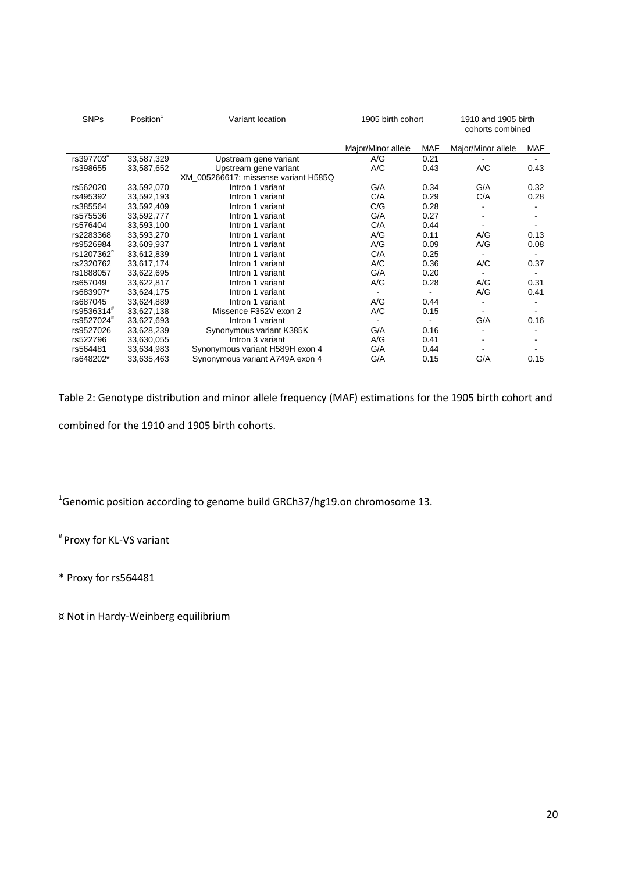| <b>SNPs</b>            | Position <sup>1</sup> | Variant location                     | 1905 birth cohort  |            | 1910 and 1905 birth<br>cohorts combined |            |  |
|------------------------|-----------------------|--------------------------------------|--------------------|------------|-----------------------------------------|------------|--|
|                        |                       |                                      | Major/Minor allele | <b>MAF</b> | Major/Minor allele                      | <b>MAF</b> |  |
| rs397703 <sup>"</sup>  | 33,587,329            | Upstream gene variant                | A/G                | 0.21       |                                         |            |  |
| rs398655               | 33,587,652            | Upstream gene variant                | A/C                | 0.43       | A/C                                     | 0.43       |  |
|                        |                       | XM 005266617: missense variant H585Q |                    |            |                                         |            |  |
| rs562020               | 33,592,070            | Intron 1 variant                     | G/A                | 0.34       | G/A                                     | 0.32       |  |
| rs495392               | 33,592,193            | Intron 1 variant                     | C/A                | 0.29       | C/A                                     | 0.28       |  |
| rs385564               | 33,592,409            | Intron 1 variant                     | C/G                | 0.28       |                                         |            |  |
| rs575536               | 33,592,777            | Intron 1 variant                     | G/A                | 0.27       |                                         |            |  |
| rs576404               | 33,593,100            | Intron 1 variant                     | C/A                | 0.44       |                                         |            |  |
| rs2283368              | 33,593,270            | Intron 1 variant                     | A/G                | 0.11       | A/G                                     | 0.13       |  |
| rs9526984              | 33,609,937            | Intron 1 variant                     | A/G                | 0.09       | A/G                                     | 0.08       |  |
| rs1207362 <sup>ª</sup> | 33.612.839            | Intron 1 variant                     | C/A                | 0.25       |                                         |            |  |
| rs2320762              | 33,617,174            | Intron 1 variant                     | A/C                | 0.36       | A/C                                     | 0.37       |  |
| rs1888057              | 33,622,695            | Intron 1 variant                     | G/A                | 0.20       |                                         |            |  |
| rs657049               | 33,622,817            | Intron 1 variant                     | A/G                | 0.28       | A/G                                     | 0.31       |  |
| rs683907*              | 33,624,175            | Intron 1 variant                     |                    |            | A/G                                     | 0.41       |  |
| rs687045               | 33,624,889            | Intron 1 variant                     | A/G                | 0.44       |                                         |            |  |
| rs9536314 <sup>#</sup> | 33,627,138            | Missence F352V exon 2                | A/C                | 0.15       |                                         |            |  |
| rs9527024 <sup>#</sup> | 33,627,693            | Intron 1 variant                     |                    |            | G/A                                     | 0.16       |  |
| rs9527026              | 33,628,239            | Synonymous variant K385K             | G/A                | 0.16       |                                         |            |  |
| rs522796               | 33,630,055            | Intron 3 variant                     | A/G                | 0.41       |                                         |            |  |
| rs564481               | 33,634,983            | Synonymous variant H589H exon 4      | G/A                | 0.44       |                                         |            |  |
| rs648202*              | 33,635,463            | Synonymous variant A749A exon 4      | G/A                | 0.15       | G/A                                     | 0.15       |  |

Table 2: Genotype distribution and minor allele frequency (MAF) estimations for the 1905 birth cohort and combined for the 1910 and 1905 birth cohorts.

 $^1$ Genomic position according to genome build GRCh37/hg19.on chromosome 13.

# Proxy for KL-VS variant

\* Proxy for rs564481

¤ Not in Hardy-Weinberg equilibrium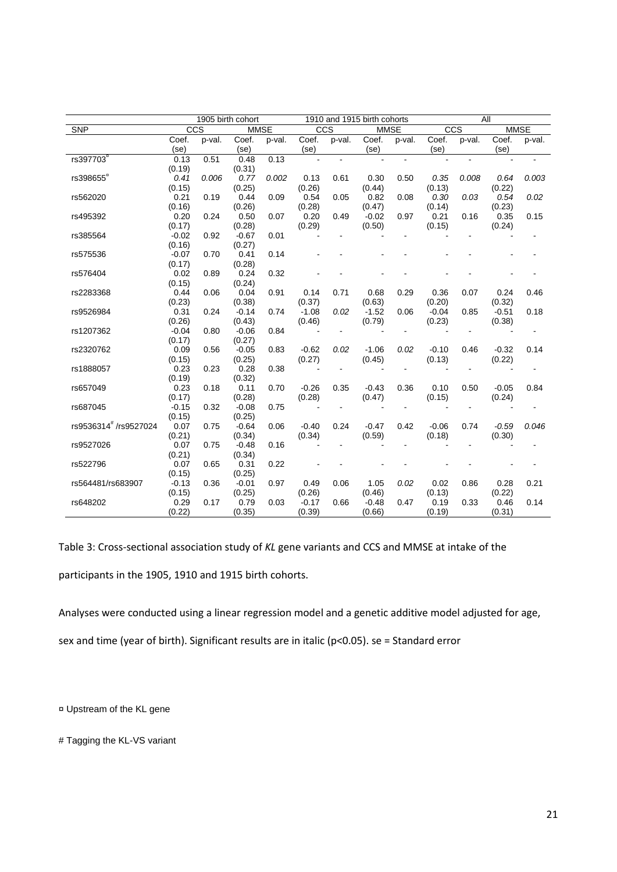|                       | 1905 birth cohort |        |         | 1910 and 1915 birth cohorts |                          |                          |                | All            |         |                |             |                          |
|-----------------------|-------------------|--------|---------|-----------------------------|--------------------------|--------------------------|----------------|----------------|---------|----------------|-------------|--------------------------|
| <b>SNP</b>            |                   | CCS    |         | MMSE                        | CCS                      |                          | <b>MMSE</b>    |                | CCS     |                | <b>MMSE</b> |                          |
|                       | Coef.             | p-val. | Coef.   | p-val.                      | Coef.                    | p-val.                   | Coef.          | p-val.         | Coef.   | p-val.         | Coef.       | p-val.                   |
|                       | (se)              |        | (se)    |                             | (se)                     |                          | (se)           |                | (se)    |                | (se)        |                          |
| rs397703 <sup>"</sup> | 0.13              | 0.51   | 0.48    | 0.13                        |                          |                          |                |                |         |                |             |                          |
|                       | (0.19)            |        | (0.31)  |                             |                          |                          |                |                |         |                |             |                          |
| rs398655 <sup>"</sup> | 0.41              | 0.006  | 0.77    | 0.002                       | 0.13                     | 0.61                     | 0.30           | 0.50           | 0.35    | 0.008          | 0.64        | 0.003                    |
|                       | (0.15)            |        | (0.25)  |                             | (0.26)                   |                          | (0.44)         |                | (0.13)  |                | (0.22)      |                          |
| rs562020              | 0.21              | 0.19   | 0.44    | 0.09                        | 0.54                     | 0.05                     | 0.82           | 0.08           | 0.30    | 0.03           | 0.54        | 0.02                     |
|                       | (0.16)            |        | (0.26)  |                             | (0.28)                   |                          | (0.47)         |                | (0.14)  |                | (0.23)      |                          |
| rs495392              | 0.20              | 0.24   | 0.50    | 0.07                        | 0.20                     | 0.49                     | $-0.02$        | 0.97           | 0.21    | 0.16           | 0.35        | 0.15                     |
|                       | (0.17)            |        | (0.28)  |                             | (0.29)                   |                          | (0.50)         |                | (0.15)  |                | (0.24)      |                          |
| rs385564              | $-0.02$           | 0.92   | $-0.67$ | 0.01                        |                          |                          |                |                |         |                |             |                          |
|                       | (0.16)            |        | (0.27)  |                             |                          |                          |                |                |         |                |             |                          |
| rs575536              | $-0.07$           | 0.70   | 0.41    | 0.14                        |                          |                          |                |                |         |                |             |                          |
|                       | (0.17)            |        | (0.28)  |                             |                          |                          |                |                |         |                |             |                          |
| rs576404              | 0.02              | 0.89   | 0.24    | 0.32                        |                          |                          |                |                |         |                |             |                          |
|                       | (0.15)            |        | (0.24)  |                             |                          |                          |                |                |         |                |             |                          |
| rs2283368             | 0.44              | 0.06   | 0.04    | 0.91                        | 0.14                     | 0.71                     | 0.68           | 0.29           | 0.36    | 0.07           | 0.24        | 0.46                     |
|                       | (0.23)            |        | (0.38)  |                             | (0.37)                   |                          | (0.63)         |                | (0.20)  |                | (0.32)      |                          |
| rs9526984             | 0.31              | 0.24   | $-0.14$ | 0.74                        | $-1.08$                  | 0.02                     | $-1.52$        | 0.06           | $-0.04$ | 0.85           | $-0.51$     | 0.18                     |
|                       | (0.26)            |        | (0.43)  |                             | (0.46)                   |                          | (0.79)         |                | (0.23)  |                | (0.38)      |                          |
| rs1207362             | $-0.04$           | 0.80   | $-0.06$ | 0.84                        | $\overline{\phantom{a}}$ | $\blacksquare$           | $\blacksquare$ | $\blacksquare$ |         | $\blacksquare$ |             | $\overline{\phantom{a}}$ |
|                       | (0.17)            |        | (0.27)  |                             |                          |                          |                |                |         |                |             |                          |
| rs2320762             | 0.09              | 0.56   | $-0.05$ | 0.83                        | $-0.62$                  | 0.02                     | $-1.06$        | 0.02           | $-0.10$ | 0.46           | $-0.32$     | 0.14                     |
|                       | (0.15)            |        | (0.25)  |                             | (0.27)                   |                          | (0.45)         |                | (0.13)  |                | (0.22)      |                          |
| rs1888057             | 0.23              | 0.23   | 0.28    | 0.38                        | $\overline{\phantom{a}}$ |                          |                |                |         |                |             |                          |
|                       | (0.19)            |        | (0.32)  |                             |                          |                          |                |                |         |                |             |                          |
| rs657049              | 0.23              | 0.18   | 0.11    | 0.70                        | $-0.26$                  | 0.35                     | $-0.43$        | 0.36           | 0.10    | 0.50           | $-0.05$     | 0.84                     |
|                       | (0.17)            |        | (0.28)  |                             | (0.28)                   |                          | (0.47)         |                | (0.15)  |                | (0.24)      |                          |
| rs687045              | $-0.15$           | 0.32   | $-0.08$ | 0.75                        | $\blacksquare$           | $\overline{\phantom{a}}$ |                | $\blacksquare$ |         | $\blacksquare$ |             |                          |
|                       | (0.15)            |        | (0.25)  |                             |                          |                          |                |                |         |                |             |                          |
| rs9536314# /rs9527024 | 0.07              | 0.75   | $-0.64$ | 0.06                        | $-0.40$                  | 0.24                     | $-0.47$        | 0.42           | $-0.06$ | 0.74           | $-0.59$     | 0.046                    |
|                       | (0.21)            |        | (0.34)  |                             | (0.34)                   |                          | (0.59)         |                | (0.18)  |                | (0.30)      |                          |
| rs9527026             | 0.07              | 0.75   | $-0.48$ | 0.16                        |                          |                          |                |                |         |                |             |                          |
|                       | (0.21)            |        | (0.34)  |                             |                          |                          |                |                |         |                |             |                          |
| rs522796              | 0.07              | 0.65   | 0.31    | 0.22                        |                          |                          |                |                |         |                |             |                          |
|                       | (0.15)            |        | (0.25)  |                             |                          |                          |                |                |         |                |             |                          |
| rs564481/rs683907     | $-0.13$           | 0.36   | $-0.01$ | 0.97                        | 0.49                     | 0.06                     | 1.05           | 0.02           | 0.02    | 0.86           | 0.28        | 0.21                     |
|                       | (0.15)            |        | (0.25)  |                             | (0.26)                   |                          | (0.46)         |                | (0.13)  |                | (0.22)      |                          |
| rs648202              | 0.29              | 0.17   | 0.79    | 0.03                        | $-0.17$                  | 0.66                     | $-0.48$        | 0.47           | 0.19    | 0.33           | 0.46        | 0.14                     |
|                       | (0.22)            |        | (0.35)  |                             | (0.39)                   |                          | (0.66)         |                | (0.19)  |                | (0.31)      |                          |

Table 3: Cross-sectional association study of *KL* gene variants and CCS and MMSE at intake of the participants in the 1905, 1910 and 1915 birth cohorts.

Analyses were conducted using a linear regression model and a genetic additive model adjusted for age,

sex and time (year of birth). Significant results are in italic (p<0.05). se = Standard error

¤ Upstream of the KL gene

# Tagging the KL-VS variant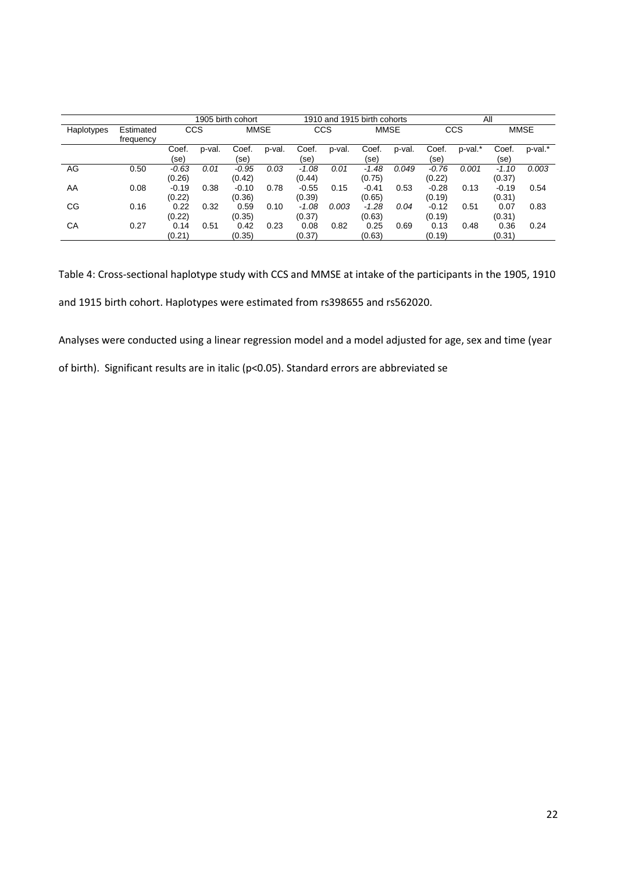|            |                        | 1905 birth cohort |        |                   |        | 1910 and 1915 birth cohorts |        |                   |        | All               |         |                   |             |
|------------|------------------------|-------------------|--------|-------------------|--------|-----------------------------|--------|-------------------|--------|-------------------|---------|-------------------|-------------|
| Haplotypes | Estimated<br>frequency | CCS               |        | <b>MMSE</b>       |        | CCS                         |        |                   | MMSE   |                   | CCS     |                   | <b>MMSE</b> |
|            |                        | Coef.<br>(se)     | p-val. | Coef.<br>(se)     | p-val. | Coef.<br>(se)               | p-val. | Coef.<br>(se)     | p-val. | Coef.<br>(se)     | p-val.* | Coef.<br>(se)     | p-val.*     |
| AG         | 0.50                   | $-0.63$<br>(0.26) | 0.01   | $-0.95$<br>(0.42) | 0.03   | $-1.08$<br>(0.44)           | 0.01   | $-1.48$<br>(0.75) | 0.049  | $-0.76$<br>(0.22) | 0.001   | $-1.10$<br>(0.37) | 0.003       |
| AA         | 0.08                   | $-0.19$<br>(0.22) | 0.38   | $-0.10$<br>(0.36) | 0.78   | $-0.55$<br>(0.39)           | 0.15   | $-0.41$<br>(0.65) | 0.53   | $-0.28$<br>(0.19) | 0.13    | $-0.19$<br>(0.31) | 0.54        |
| СG         | 0.16                   | 0.22<br>(0.22)    | 0.32   | 0.59<br>(0.35)    | 0.10   | $-1.08$<br>(0.37)           | 0.003  | $-1.28$<br>(0.63) | 0.04   | $-0.12$<br>(0.19) | 0.51    | 0.07<br>(0.31)    | 0.83        |
| СA         | 0.27                   | 0.14<br>(0.21)    | 0.51   | 0.42<br>(0.35)    | 0.23   | 0.08<br>(0.37)              | 0.82   | 0.25<br>(0.63)    | 0.69   | 0.13<br>(0.19)    | 0.48    | 0.36<br>(0.31)    | 0.24        |

Table 4: Cross-sectional haplotype study with CCS and MMSE at intake of the participants in the 1905, 1910 and 1915 birth cohort. Haplotypes were estimated from rs398655 and rs562020.

Analyses were conducted using a linear regression model and a model adjusted for age, sex and time (year of birth). Significant results are in italic (p<0.05). Standard errors are abbreviated se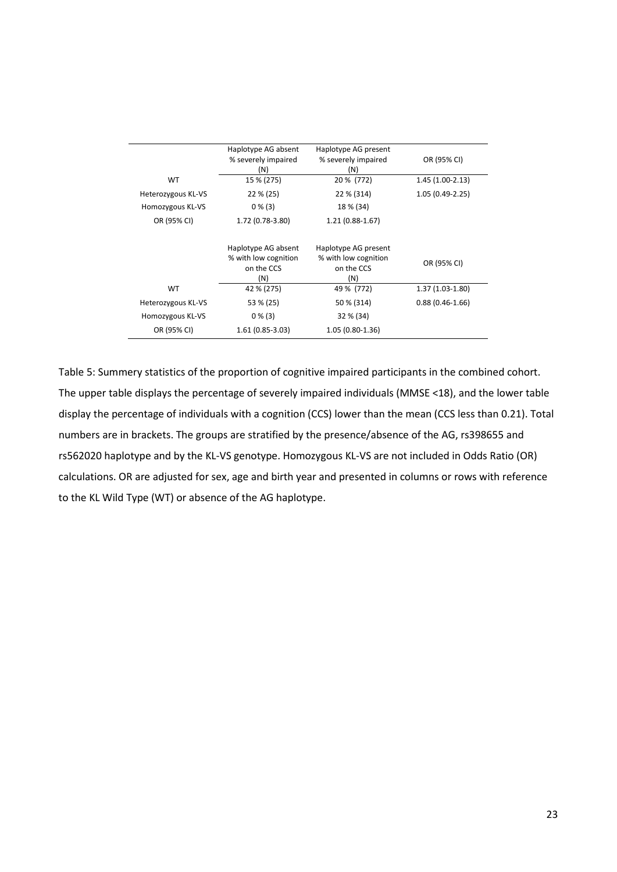|                    | Haplotype AG absent<br>% severely impaired<br>(N)                | Haplotype AG present<br>% severely impaired<br>(N)                | OR (95% CI)       |
|--------------------|------------------------------------------------------------------|-------------------------------------------------------------------|-------------------|
| <b>WT</b>          | 15 % (275)                                                       | 20 % (772)                                                        | $1.45(1.00-2.13)$ |
| Heterozygous KL-VS | $22\% (25)$                                                      | 22 % (314)                                                        | $1.05(0.49-2.25)$ |
| Homozygous KL-VS   | $0\%$ (3)                                                        | 18 % (34)                                                         |                   |
| OR (95% CI)        | 1.72 (0.78-3.80)                                                 | $1.21(0.88-1.67)$                                                 |                   |
|                    | Haplotype AG absent<br>% with low cognition<br>on the CCS<br>(N) | Haplotype AG present<br>% with low cognition<br>on the CCS<br>(N) | OR (95% CI)       |
| WT.                | 42 % (275)                                                       | 49 % (772)                                                        | $1.37(1.03-1.80)$ |
| Heterozygous KL-VS | 53 % (25)                                                        | 50 % (314)                                                        | $0.88(0.46-1.66)$ |
| Homozygous KL-VS   | $0\%$ (3)                                                        | 32 % (34)                                                         |                   |
| OR (95% CI)        | $1.61(0.85-3.03)$                                                | $1.05(0.80-1.36)$                                                 |                   |

Table 5: Summery statistics of the proportion of cognitive impaired participants in the combined cohort. The upper table displays the percentage of severely impaired individuals (MMSE <18), and the lower table display the percentage of individuals with a cognition (CCS) lower than the mean (CCS less than 0.21). Total numbers are in brackets. The groups are stratified by the presence/absence of the AG, rs398655 and rs562020 haplotype and by the KL-VS genotype. Homozygous KL-VS are not included in Odds Ratio (OR) calculations. OR are adjusted for sex, age and birth year and presented in columns or rows with reference to the KL Wild Type (WT) or absence of the AG haplotype.